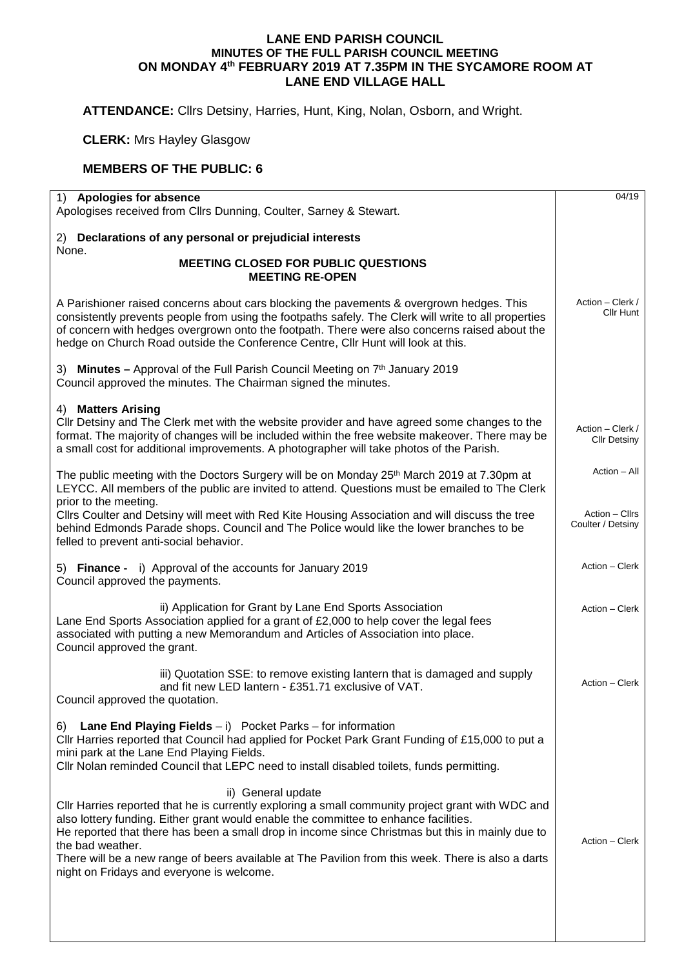## **LANE END PARISH COUNCIL MINUTES OF THE FULL PARISH COUNCIL MEETING ON MONDAY 4th FEBRUARY 2019 AT 7.35PM IN THE SYCAMORE ROOM AT LANE END VILLAGE HALL**

**ATTENDANCE:** Cllrs Detsiny, Harries, Hunt, King, Nolan, Osborn, and Wright.

**CLERK:** Mrs Hayley Glasgow

## **MEMBERS OF THE PUBLIC: 6**

| 1) Apologies for absence                                                                                                                                                                                                                                                                                                                                                                                                                                                                   |                                         |  |
|--------------------------------------------------------------------------------------------------------------------------------------------------------------------------------------------------------------------------------------------------------------------------------------------------------------------------------------------------------------------------------------------------------------------------------------------------------------------------------------------|-----------------------------------------|--|
| Apologises received from Cllrs Dunning, Coulter, Sarney & Stewart.                                                                                                                                                                                                                                                                                                                                                                                                                         |                                         |  |
| 2) Declarations of any personal or prejudicial interests                                                                                                                                                                                                                                                                                                                                                                                                                                   |                                         |  |
| None.<br><b>MEETING CLOSED FOR PUBLIC QUESTIONS</b><br><b>MEETING RE-OPEN</b>                                                                                                                                                                                                                                                                                                                                                                                                              |                                         |  |
| A Parishioner raised concerns about cars blocking the pavements & overgrown hedges. This<br>consistently prevents people from using the footpaths safely. The Clerk will write to all properties<br>of concern with hedges overgrown onto the footpath. There were also concerns raised about the<br>hedge on Church Road outside the Conference Centre, Cllr Hunt will look at this.                                                                                                      | Action - Clerk /<br>Cllr Hunt           |  |
| 3) Minutes - Approval of the Full Parish Council Meeting on 7th January 2019<br>Council approved the minutes. The Chairman signed the minutes.                                                                                                                                                                                                                                                                                                                                             |                                         |  |
| 4) Matters Arising<br>Cllr Detsiny and The Clerk met with the website provider and have agreed some changes to the<br>format. The majority of changes will be included within the free website makeover. There may be<br>a small cost for additional improvements. A photographer will take photos of the Parish.                                                                                                                                                                          | Action - Clerk /<br><b>CIIr Detsiny</b> |  |
| The public meeting with the Doctors Surgery will be on Monday 25 <sup>th</sup> March 2019 at 7.30pm at<br>LEYCC. All members of the public are invited to attend. Questions must be emailed to The Clerk<br>prior to the meeting.                                                                                                                                                                                                                                                          | Action - All                            |  |
| Cllrs Coulter and Detsiny will meet with Red Kite Housing Association and will discuss the tree<br>behind Edmonds Parade shops. Council and The Police would like the lower branches to be<br>felled to prevent anti-social behavior.                                                                                                                                                                                                                                                      | Action - Cllrs<br>Coulter / Detsiny     |  |
| 5) Finance - i) Approval of the accounts for January 2019<br>Council approved the payments.                                                                                                                                                                                                                                                                                                                                                                                                | Action - Clerk                          |  |
| ii) Application for Grant by Lane End Sports Association<br>Lane End Sports Association applied for a grant of £2,000 to help cover the legal fees<br>associated with putting a new Memorandum and Articles of Association into place.<br>Council approved the grant.                                                                                                                                                                                                                      | Action - Clerk                          |  |
| iii) Quotation SSE: to remove existing lantern that is damaged and supply<br>and fit new LED lantern - £351.71 exclusive of VAT.<br>Council approved the quotation.                                                                                                                                                                                                                                                                                                                        | Action - Clerk                          |  |
| <b>Lane End Playing Fields</b> $- i$ Pocket Parks $-$ for information<br>6)<br>Cllr Harries reported that Council had applied for Pocket Park Grant Funding of £15,000 to put a<br>mini park at the Lane End Playing Fields.<br>CIIr Nolan reminded Council that LEPC need to install disabled toilets, funds permitting.                                                                                                                                                                  |                                         |  |
| ii) General update<br>CIIr Harries reported that he is currently exploring a small community project grant with WDC and<br>also lottery funding. Either grant would enable the committee to enhance facilities.<br>He reported that there has been a small drop in income since Christmas but this in mainly due to<br>the bad weather.<br>There will be a new range of beers available at The Pavilion from this week. There is also a darts<br>night on Fridays and everyone is welcome. | Action – Clerk                          |  |
|                                                                                                                                                                                                                                                                                                                                                                                                                                                                                            |                                         |  |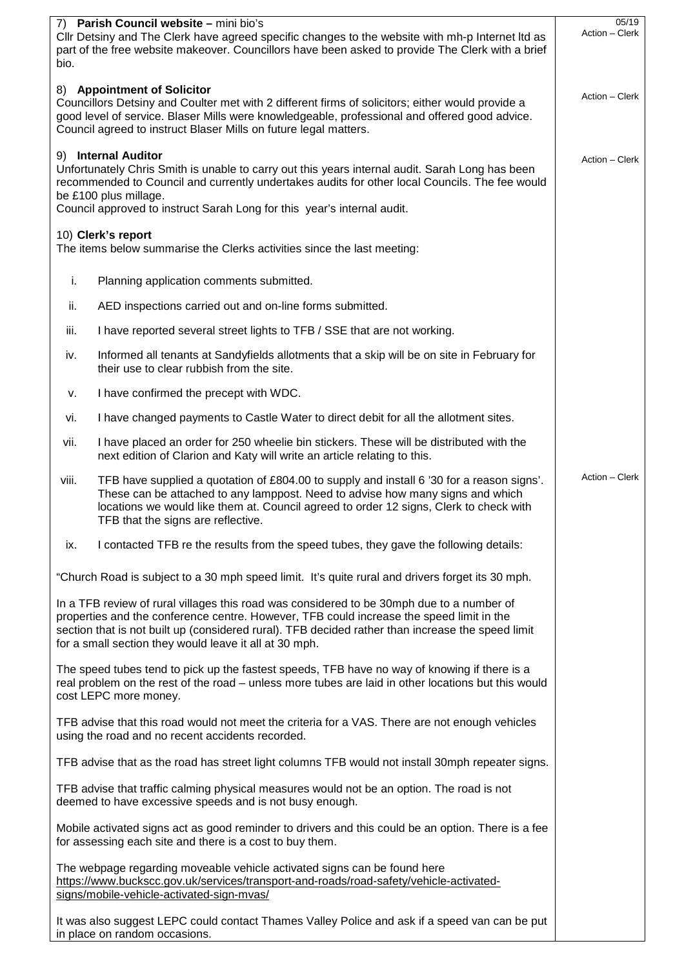| 7) Parish Council website - mini bio's<br>Cllr Detsiny and The Clerk have agreed specific changes to the website with mh-p Internet Itd as<br>part of the free website makeover. Councillors have been asked to provide The Clerk with a brief<br>bio.                                                                       | 05/19<br>Action - Clerk                                                                                                                                                                                                                                                                                                                              |                |
|------------------------------------------------------------------------------------------------------------------------------------------------------------------------------------------------------------------------------------------------------------------------------------------------------------------------------|------------------------------------------------------------------------------------------------------------------------------------------------------------------------------------------------------------------------------------------------------------------------------------------------------------------------------------------------------|----------------|
| 8) Appointment of Solicitor<br>Councillors Detsiny and Coulter met with 2 different firms of solicitors; either would provide a<br>good level of service. Blaser Mills were knowledgeable, professional and offered good advice.<br>Council agreed to instruct Blaser Mills on future legal matters.                         | Action – Clerk                                                                                                                                                                                                                                                                                                                                       |                |
| 9) Internal Auditor<br>Unfortunately Chris Smith is unable to carry out this years internal audit. Sarah Long has been<br>recommended to Council and currently undertakes audits for other local Councils. The fee would<br>be £100 plus millage.<br>Council approved to instruct Sarah Long for this year's internal audit. | Action - Clerk                                                                                                                                                                                                                                                                                                                                       |                |
|                                                                                                                                                                                                                                                                                                                              | 10) Clerk's report<br>The items below summarise the Clerks activities since the last meeting:                                                                                                                                                                                                                                                        |                |
| i.                                                                                                                                                                                                                                                                                                                           | Planning application comments submitted.                                                                                                                                                                                                                                                                                                             |                |
| ii.                                                                                                                                                                                                                                                                                                                          | AED inspections carried out and on-line forms submitted.                                                                                                                                                                                                                                                                                             |                |
| iii.                                                                                                                                                                                                                                                                                                                         | I have reported several street lights to TFB / SSE that are not working.                                                                                                                                                                                                                                                                             |                |
| iv.                                                                                                                                                                                                                                                                                                                          | Informed all tenants at Sandyfields allotments that a skip will be on site in February for<br>their use to clear rubbish from the site.                                                                                                                                                                                                              |                |
| v.                                                                                                                                                                                                                                                                                                                           | I have confirmed the precept with WDC.                                                                                                                                                                                                                                                                                                               |                |
| vi.                                                                                                                                                                                                                                                                                                                          | I have changed payments to Castle Water to direct debit for all the allotment sites.                                                                                                                                                                                                                                                                 |                |
| vii.                                                                                                                                                                                                                                                                                                                         | I have placed an order for 250 wheelie bin stickers. These will be distributed with the<br>next edition of Clarion and Katy will write an article relating to this.                                                                                                                                                                                  |                |
| viii.                                                                                                                                                                                                                                                                                                                        | TFB have supplied a quotation of £804.00 to supply and install 6 '30 for a reason signs'.<br>These can be attached to any lamppost. Need to advise how many signs and which<br>locations we would like them at. Council agreed to order 12 signs, Clerk to check with<br>TFB that the signs are reflective.                                          | Action - Clerk |
| ix.                                                                                                                                                                                                                                                                                                                          | I contacted TFB re the results from the speed tubes, they gave the following details:                                                                                                                                                                                                                                                                |                |
|                                                                                                                                                                                                                                                                                                                              | "Church Road is subject to a 30 mph speed limit. It's quite rural and drivers forget its 30 mph.                                                                                                                                                                                                                                                     |                |
|                                                                                                                                                                                                                                                                                                                              | In a TFB review of rural villages this road was considered to be 30mph due to a number of<br>properties and the conference centre. However, TFB could increase the speed limit in the<br>section that is not built up (considered rural). TFB decided rather than increase the speed limit<br>for a small section they would leave it all at 30 mph. |                |
|                                                                                                                                                                                                                                                                                                                              | The speed tubes tend to pick up the fastest speeds, TFB have no way of knowing if there is a<br>real problem on the rest of the road - unless more tubes are laid in other locations but this would<br>cost LEPC more money.                                                                                                                         |                |
|                                                                                                                                                                                                                                                                                                                              | TFB advise that this road would not meet the criteria for a VAS. There are not enough vehicles<br>using the road and no recent accidents recorded.                                                                                                                                                                                                   |                |
|                                                                                                                                                                                                                                                                                                                              | TFB advise that as the road has street light columns TFB would not install 30mph repeater signs.                                                                                                                                                                                                                                                     |                |
|                                                                                                                                                                                                                                                                                                                              | TFB advise that traffic calming physical measures would not be an option. The road is not<br>deemed to have excessive speeds and is not busy enough.                                                                                                                                                                                                 |                |
|                                                                                                                                                                                                                                                                                                                              | Mobile activated signs act as good reminder to drivers and this could be an option. There is a fee<br>for assessing each site and there is a cost to buy them.                                                                                                                                                                                       |                |
|                                                                                                                                                                                                                                                                                                                              | The webpage regarding moveable vehicle activated signs can be found here<br>https://www.buckscc.gov.uk/services/transport-and-roads/road-safety/vehicle-activated-<br>signs/mobile-vehicle-activated-sign-mvas/                                                                                                                                      |                |
|                                                                                                                                                                                                                                                                                                                              | It was also suggest LEPC could contact Thames Valley Police and ask if a speed van can be put<br>in place on random occasions.                                                                                                                                                                                                                       |                |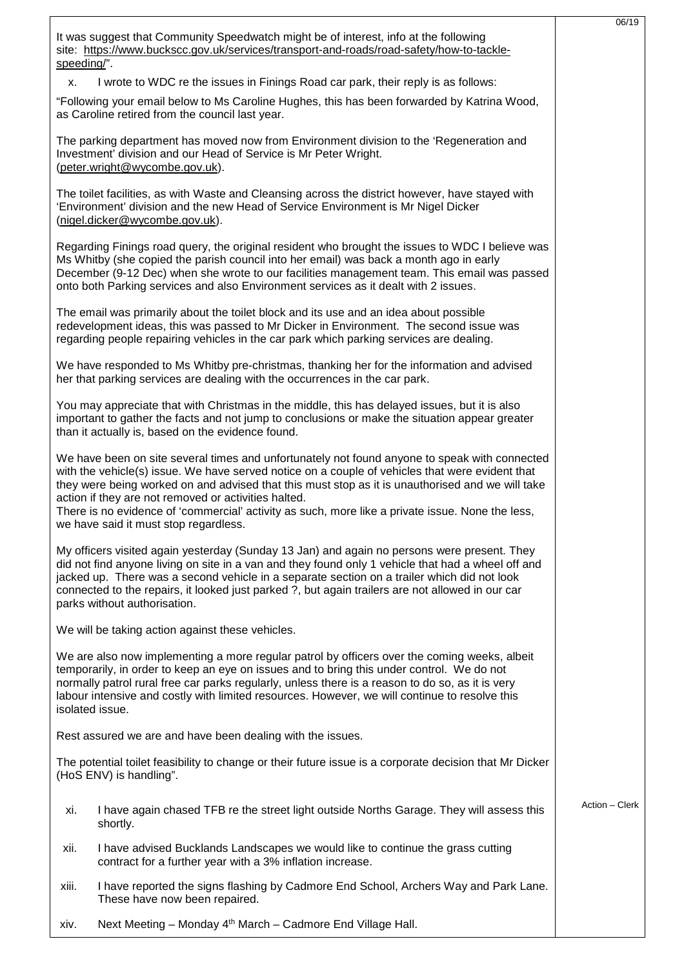|                                                                                                                                                                                                                                                                                                                                                                                                                                                                                                           | 06/19          |
|-----------------------------------------------------------------------------------------------------------------------------------------------------------------------------------------------------------------------------------------------------------------------------------------------------------------------------------------------------------------------------------------------------------------------------------------------------------------------------------------------------------|----------------|
| It was suggest that Community Speedwatch might be of interest, info at the following<br>site: https://www.buckscc.gov.uk/services/transport-and-roads/road-safety/how-to-tackle-<br>speeding/".                                                                                                                                                                                                                                                                                                           |                |
| I wrote to WDC re the issues in Finings Road car park, their reply is as follows:<br>х.                                                                                                                                                                                                                                                                                                                                                                                                                   |                |
| "Following your email below to Ms Caroline Hughes, this has been forwarded by Katrina Wood,<br>as Caroline retired from the council last year.                                                                                                                                                                                                                                                                                                                                                            |                |
| The parking department has moved now from Environment division to the 'Regeneration and<br>Investment' division and our Head of Service is Mr Peter Wright.<br>(peter.wright@wycombe.gov.uk).                                                                                                                                                                                                                                                                                                             |                |
| The toilet facilities, as with Waste and Cleansing across the district however, have stayed with<br>'Environment' division and the new Head of Service Environment is Mr Nigel Dicker<br>(nigel.dicker@wycombe.gov.uk).                                                                                                                                                                                                                                                                                   |                |
| Regarding Finings road query, the original resident who brought the issues to WDC I believe was<br>Ms Whitby (she copied the parish council into her email) was back a month ago in early<br>December (9-12 Dec) when she wrote to our facilities management team. This email was passed<br>onto both Parking services and also Environment services as it dealt with 2 issues.                                                                                                                           |                |
| The email was primarily about the toilet block and its use and an idea about possible<br>redevelopment ideas, this was passed to Mr Dicker in Environment. The second issue was<br>regarding people repairing vehicles in the car park which parking services are dealing.                                                                                                                                                                                                                                |                |
| We have responded to Ms Whitby pre-christmas, thanking her for the information and advised<br>her that parking services are dealing with the occurrences in the car park.                                                                                                                                                                                                                                                                                                                                 |                |
| You may appreciate that with Christmas in the middle, this has delayed issues, but it is also<br>important to gather the facts and not jump to conclusions or make the situation appear greater<br>than it actually is, based on the evidence found.                                                                                                                                                                                                                                                      |                |
| We have been on site several times and unfortunately not found anyone to speak with connected<br>with the vehicle(s) issue. We have served notice on a couple of vehicles that were evident that<br>they were being worked on and advised that this must stop as it is unauthorised and we will take<br>action if they are not removed or activities halted.<br>There is no evidence of 'commercial' activity as such, more like a private issue. None the less,<br>we have said it must stop regardless. |                |
| My officers visited again yesterday (Sunday 13 Jan) and again no persons were present. They<br>did not find anyone living on site in a van and they found only 1 vehicle that had a wheel off and<br>jacked up. There was a second vehicle in a separate section on a trailer which did not look<br>connected to the repairs, it looked just parked ?, but again trailers are not allowed in our car<br>parks without authorisation.                                                                      |                |
| We will be taking action against these vehicles.                                                                                                                                                                                                                                                                                                                                                                                                                                                          |                |
| We are also now implementing a more regular patrol by officers over the coming weeks, albeit<br>temporarily, in order to keep an eye on issues and to bring this under control. We do not<br>normally patrol rural free car parks regularly, unless there is a reason to do so, as it is very<br>labour intensive and costly with limited resources. However, we will continue to resolve this<br>isolated issue.                                                                                         |                |
| Rest assured we are and have been dealing with the issues.                                                                                                                                                                                                                                                                                                                                                                                                                                                |                |
| The potential toilet feasibility to change or their future issue is a corporate decision that Mr Dicker<br>(HoS ENV) is handling".                                                                                                                                                                                                                                                                                                                                                                        |                |
| I have again chased TFB re the street light outside Norths Garage. They will assess this<br>xi.<br>shortly.                                                                                                                                                                                                                                                                                                                                                                                               | Action - Clerk |
| I have advised Bucklands Landscapes we would like to continue the grass cutting<br>xii.<br>contract for a further year with a 3% inflation increase.                                                                                                                                                                                                                                                                                                                                                      |                |
| xiii.<br>I have reported the signs flashing by Cadmore End School, Archers Way and Park Lane.<br>These have now been repaired.                                                                                                                                                                                                                                                                                                                                                                            |                |
|                                                                                                                                                                                                                                                                                                                                                                                                                                                                                                           |                |

xiv. Next Meeting – Monday 4th March – Cadmore End Village Hall.